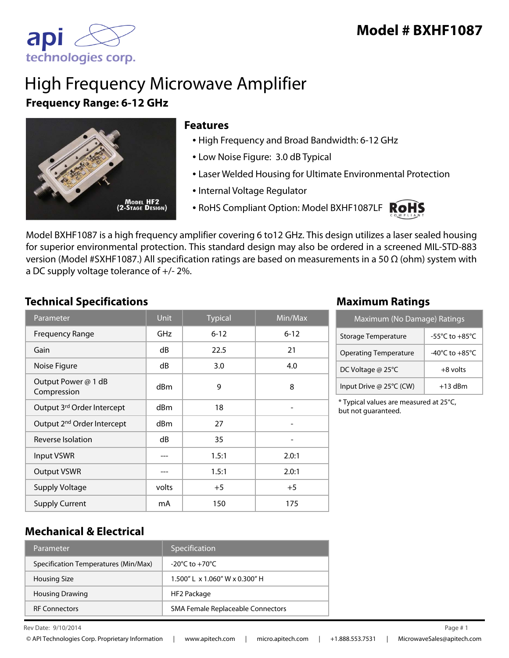

# High Frequency Microwave Amplifier **Frequency Range: 6-12 GHz**



#### **Features**

- High Frequency and Broad Bandwidth: 6-12 GHz
- Low Noise Figure: 3.0 dB Typical
- Laser Welded Housing for Ultimate Environmental Protection
- Internal Voltage Regulator
- RoHS Compliant Option: Model BXHF1087LF ROHS



Model BXHF1087 is a high frequency amplifier covering 6 to12 GHz. This design utilizes a laser sealed housing for superior environmental protection. This standard design may also be ordered in a screened MIL-STD-883 version (Model #SXHF1087.) All specification ratings are based on measurements in a 50 Ω (ohm) system with a DC supply voltage tolerance of +/- 2%.

#### **Technical Specifications Maximum Ratings**

| Parameter                              | <b>Unit</b>     | <b>Typical</b> | Min/Max  |
|----------------------------------------|-----------------|----------------|----------|
| <b>Frequency Range</b>                 | <b>GHz</b>      | $6 - 12$       | $6 - 12$ |
| Gain                                   | dB              | 22.5           | 21       |
| Noise Figure                           | dB              | 3.0            | 4.0      |
| Output Power @ 1 dB<br>Compression     | d <sub>Bm</sub> | 9              | 8        |
| Output 3rd Order Intercept             | d <sub>Bm</sub> | 18             |          |
| Output 2 <sup>nd</sup> Order Intercept | dBm             | 27             |          |
| Reverse Isolation                      | dB              | 35             |          |
| <b>Input VSWR</b>                      | ---             | 1.5:1          | 2.0:1    |
| <b>Output VSWR</b>                     |                 | 1.5:1          | 2.0:1    |
| <b>Supply Voltage</b>                  | volts           | $+5$           | $+5$     |
| <b>Supply Current</b>                  | mA              | 150            | 175      |

| Maximum (No Damage) Ratings  |                                      |  |
|------------------------------|--------------------------------------|--|
| Storage Temperature          | -55 $^{\circ}$ C to +85 $^{\circ}$ C |  |
| <b>Operating Temperature</b> | $-40^{\circ}$ C to $+85^{\circ}$ C   |  |
| DC Voltage @ 25°C            | $+8$ volts                           |  |
| Input Drive @ 25°C (CW)      | $+13$ dBm                            |  |

\* Typical values are measured at 25°C, but not guaranteed.

### **Mechanical & Electrical**

| Parameter                            | Specification                        |
|--------------------------------------|--------------------------------------|
| Specification Temperatures (Min/Max) | $-20^{\circ}$ C to $+70^{\circ}$ C   |
| <b>Housing Size</b>                  | $1.500''$   x $1.060''$ W x 0.300" H |
| <b>Housing Drawing</b>               | HF2 Package                          |
| <b>RF Connectors</b>                 | SMA Female Replaceable Connectors    |

Rev Date:  $9/10/2014$  Page #1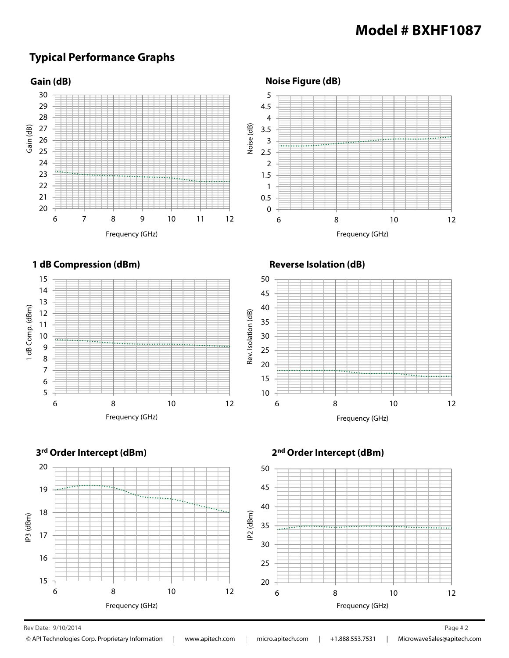## **Typical Performance Graphs**



Rev Date: 9/10/2014 Page # 2